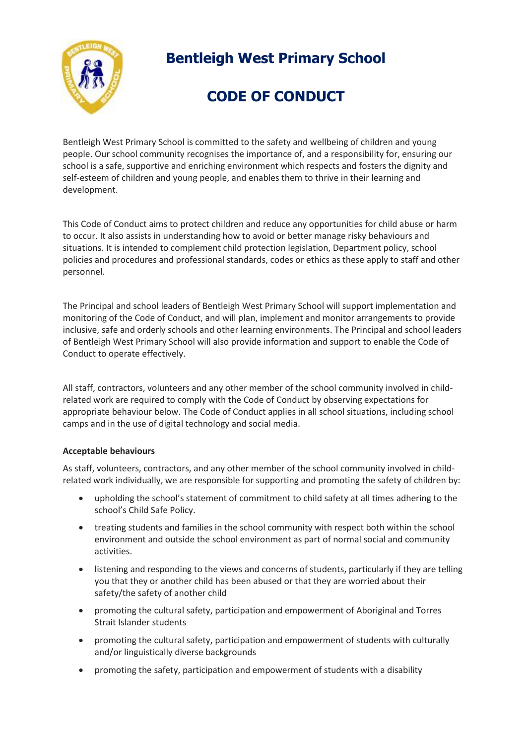

# **Bentleigh West Primary School**

# **CODE OF CONDUCT**

Bentleigh West Primary School is committed to the safety and wellbeing of children and young people. Our school community recognises the importance of, and a responsibility for, ensuring our school is a safe, supportive and enriching environment which respects and fosters the dignity and self-esteem of children and young people, and enables them to thrive in their learning and development.

This Code of Conduct aims to protect children and reduce any opportunities for child abuse or harm to occur. It also assists in understanding how to avoid or better manage risky behaviours and situations. It is intended to complement child protection legislation, Department policy, school policies and procedures and professional standards, codes or ethics as these apply to staff and other personnel.

The Principal and school leaders of Bentleigh West Primary School will support implementation and monitoring of the Code of Conduct, and will plan, implement and monitor arrangements to provide inclusive, safe and orderly schools and other learning environments. The Principal and school leaders of Bentleigh West Primary School will also provide information and support to enable the Code of Conduct to operate effectively.

All staff, contractors, volunteers and any other member of the school community involved in childrelated work are required to comply with the Code of Conduct by observing expectations for appropriate behaviour below. The Code of Conduct applies in all school situations, including school camps and in the use of digital technology and social media.

### **Acceptable behaviours**

As staff, volunteers, contractors, and any other member of the school community involved in childrelated work individually, we are responsible for supporting and promoting the safety of children by:

- upholding the school's statement of commitment to child safety at all times adhering to the school's Child Safe Policy.
- treating students and families in the school community with respect both within the school environment and outside the school environment as part of normal social and community activities.
- listening and responding to the views and concerns of students, particularly if they are telling you that they or another child has been abused or that they are worried about their safety/the safety of another child
- promoting the cultural safety, participation and empowerment of Aboriginal and Torres Strait Islander students
- promoting the cultural safety, participation and empowerment of students with culturally and/or linguistically diverse backgrounds
- promoting the safety, participation and empowerment of students with a disability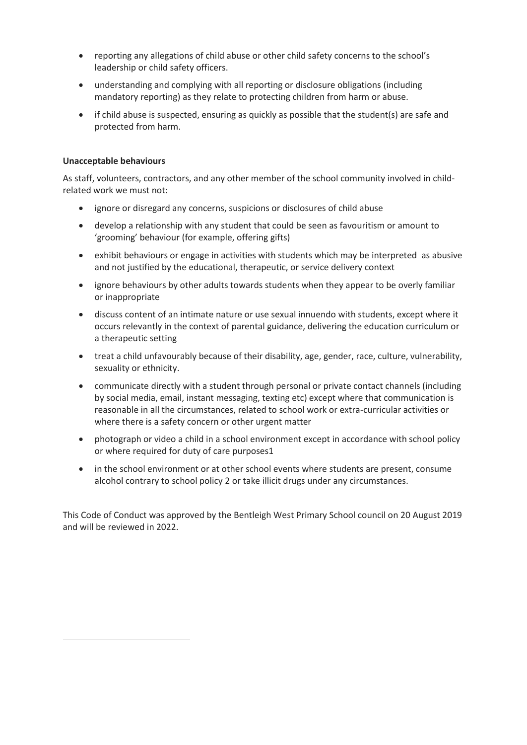- reporting any allegations of child abuse or other child safety concerns to the school's leadership or child safety officers.
- understanding and complying with all reporting or disclosure obligations (including mandatory reporting) as they relate to protecting children from harm or abuse.
- if child abuse is suspected, ensuring as quickly as possible that the student(s) are safe and protected from harm.

#### **Unacceptable behaviours**

l

As staff, volunteers, contractors, and any other member of the school community involved in childrelated work we must not:

- ignore or disregard any concerns, suspicions or disclosures of child abuse
- develop a relationship with any student that could be seen as favouritism or amount to 'grooming' behaviour (for example, offering gifts)
- exhibit behaviours or engage in activities with students which may be interpreted as abusive and not justified by the educational, therapeutic, or service delivery context
- ignore behaviours by other adults towards students when they appear to be overly familiar or inappropriate
- discuss content of an intimate nature or use sexual innuendo with students, except where it occurs relevantly in the context of parental guidance, delivering the education curriculum or a therapeutic setting
- treat a child unfavourably because of their disability, age, gender, race, culture, vulnerability, sexuality or ethnicity.
- communicate directly with a student through personal or private contact channels (including by social media, email, instant messaging, texting etc) except where that communication is reasonable in all the circumstances, related to school work or extra-curricular activities or where there is a safety concern or other urgent matter
- photograph or video a child in a school environment except in accordance with school policy or where required for duty of care purposes1
- in the school environment or at other school events where students are present, consume alcohol contrary to school policy 2 or take illicit drugs under any circumstances.

This Code of Conduct was approved by the Bentleigh West Primary School council on 20 August 2019 and will be reviewed in 2022.